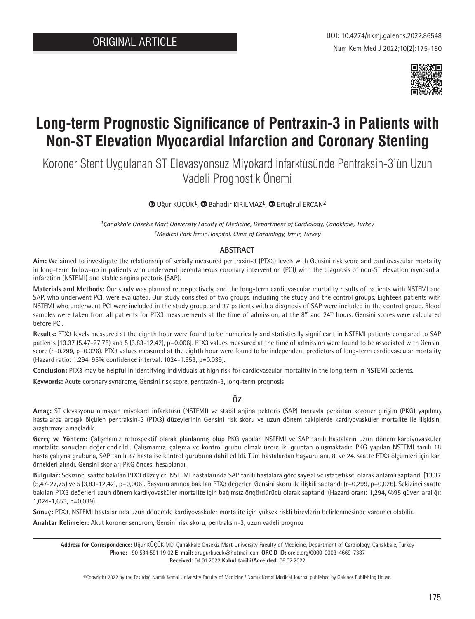

# **Long-term Prognostic Significance of Pentraxin-3 in Patients with Non-ST Elevation Myocardial Infarction and Coronary Stenting**

Koroner Stent Uygulanan ST Elevasyonsuz Miyokard İnfarktüsünde Pentraksin-3'ün Uzun Vadeli Prognostik Önemi

# $\bullet$ Uğur KÜÇÜK<sup>1</sup>,  $\bullet$  Bahadır KIRILMAZ<sup>1</sup>,  $\bullet$  Ertuğrul ERCAN<sup>2</sup>

*1Çanakkale Onsekiz Mart University Faculty of Medicine, Department of Cardiology, Çanakkale, Turkey 2Medical Park İzmir Hospital, Clinic of Cardiology, İzmir, Turkey*

### **ABSTRACT**

**Aim:** We aimed to investigate the relationship of serially measured pentraxin-3 (PTX3) levels with Gensini risk score and cardiovascular mortality in long-term follow-up in patients who underwent percutaneous coronary intervention (PCI) with the diagnosis of non-ST elevation myocardial infarction (NSTEMI) and stable angina pectoris (SAP).

**Materials and Methods:** Our study was planned retrospectively, and the long-term cardiovascular mortality results of patients with NSTEMI and SAP, who underwent PCI, were evaluated. Our study consisted of two groups, including the study and the control groups. Eighteen patients with NSTEMI who underwent PCI were included in the study group, and 37 patients with a diagnosis of SAP were included in the control group. Blood samples were taken from all patients for PTX3 measurements at the time of admission, at the 8<sup>th</sup> and 24<sup>th</sup> hours. Gensini scores were calculated before PCI.

**Results:** PTX3 levels measured at the eighth hour were found to be numerically and statistically significant in NSTEMI patients compared to SAP patients [13.37 (5.47-27.75) and 5 (3.83-12.42), p=0.006]. PTX3 values measured at the time of admission were found to be associated with Gensini score (r=0.299, p=0.026). PTX3 values measured at the eighth hour were found to be independent predictors of long-term cardiovascular mortality (Hazard ratio: 1.294, 95% confidence interval: 1024-1.653, p=0.039).

**Conclusion:** PTX3 may be helpful in identifying individuals at high risk for cardiovascular mortality in the long term in NSTEMI patients.

**Keywords:** Acute coronary syndrome, Gensini risk score, pentraxin-3, long-term prognosis

# **ÖZ**

**Amaç:** ST elevasyonu olmayan miyokard infarktüsü (NSTEMI) ve stabil anjina pektoris (SAP) tanısıyla perkütan koroner girişim (PKG) yapılmış hastalarda ardışık ölçülen pentraksin-3 (PTX3) düzeylerinin Gensini risk skoru ve uzun dönem takiplerde kardiyovasküler mortalite ile ilişkisini araştırmayı amaçladık.

**Gereç ve Yöntem:** Çalışmamız retrospektif olarak planlanmış olup PKG yapılan NSTEMI ve SAP tanılı hastaların uzun dönem kardiyovasküler mortalite sonuçları değerlendirildi. Çalışmamız, çalışma ve kontrol grubu olmak üzere iki gruptan oluşmaktadır. PKG yapılan NSTEMI tanılı 18 hasta çalışma grubuna, SAP tanılı 37 hasta ise kontrol gurubuna dahil edildi. Tüm hastalardan başvuru anı, 8. ve 24. saatte PTX3 ölçümleri için kan örnekleri alındı. Gensini skorları PKG öncesi hesaplandı.

**Bulgular:** Sekizinci saatte bakılan PTX3 düzeyleri NSTEMI hastalarında SAP tanılı hastalara göre sayısal ve istatistiksel olarak anlamlı saptandı [13,37 (5,47-27,75) ve 5 (3,83-12,42), p=0,006]. Başvuru anında bakılan PTX3 değerleri Gensini skoru ile ilişkili saptandı (r=0,299, p=0,026). Sekizinci saatte bakılan PTX3 değerleri uzun dönem kardiyovasküler mortalite için bağımsız öngördürücü olarak saptandı (Hazard oranı: 1,294, %95 güven aralığı: 1,024-1,653, p=0,039).

**Sonuç:** PTX3, NSTEMI hastalarında uzun dönemde kardiyovasküler mortalite için yüksek riskli bireylerin belirlenmesinde yardımcı olabilir.

**Anahtar Kelimeler:** Akut koroner sendrom, Gensini risk skoru, pentraksin-3, uzun vadeli prognoz

**Address for Correspondence:** Uğur KÜÇÜK MD, Çanakkale Onsekiz Mart University Faculty of Medicine, Department of Cardiology, Çanakkale, Turkey **Phone:** +90 534 591 19 02 **E-mail:** drugurkucuk@hotmail.com **ORCID ID:** orcid.org/0000-0003-4669-7387 **Received:** 04.01.2022 **Kabul tarihi/Accepted**: 06.02.2022

©Copyright 2022 by the Tekirdağ Namık Kemal University Faculty of Medicine / Namık Kemal Medical Journal published by Galenos Publishing House.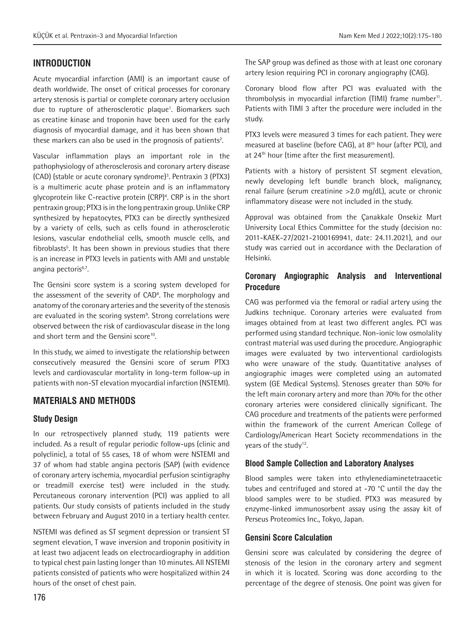# **INTRODUCTION**

Acute myocardial infarction (AMI) is an important cause of death worldwide. The onset of critical processes for coronary artery stenosis is partial or complete coronary artery occlusion due to rupture of atherosclerotic plaque<sup>1</sup>. Biomarkers such as creatine kinase and troponin have been used for the early diagnosis of myocardial damage, and it has been shown that these markers can also be used in the prognosis of patients<sup>2</sup>.

Vascular inflammation plays an important role in the pathophysiology of atherosclerosis and coronary artery disease (CAD) (stable or acute coronary syndrome)3 . Pentraxin 3 (PTX3) is a multimeric acute phase protein and is an inflammatory glycoprotein like C-reactive protein (CRP)<sup>4</sup>. CRP is in the short pentraxin group; PTX3 is in the long pentraxin group. Unlike CRP synthesized by hepatocytes, PTX3 can be directly synthesized by a variety of cells, such as cells found in atherosclerotic lesions, vascular endothelial cells, smooth muscle cells, and fibroblasts<sup>5</sup>. It has been shown in previous studies that there is an increase in PTX3 levels in patients with AMI and unstable angina pectoris<sup>6,7</sup>.

The Gensini score system is a scoring system developed for the assessment of the severity of CAD<sup>8</sup>. The morphology and anatomy of the coronary arteries and the severity of the stenosis are evaluated in the scoring system<sup>9</sup>. Strong correlations were observed between the risk of cardiovascular disease in the long and short term and the Gensini score<sup>10</sup>.

In this study, we aimed to investigate the relationship between consecutively measured the Gensini score of serum PTX3 levels and cardiovascular mortality in long-term follow-up in patients with non-ST elevation myocardial infarction (NSTEMI).

# **MATERIALS AND METHODS**

# **Study Design**

In our retrospectively planned study, 119 patients were included. As a result of regular periodic follow-ups (clinic and polyclinic), a total of 55 cases, 18 of whom were NSTEMI and 37 of whom had stable angina pectoris (SAP) (with evidence of coronary artery ischemia, myocardial perfusion scintigraphy or treadmill exercise test) were included in the study. Percutaneous coronary intervention (PCI) was applied to all patients. Our study consists of patients included in the study between February and August 2010 in a tertiary health center.

NSTEMI was defined as ST segment depression or transient ST segment elevation, T wave inversion and troponin positivity in at least two adjacent leads on electrocardiography in addition to typical chest pain lasting longer than 10 minutes. All NSTEMI patients consisted of patients who were hospitalized within 24 hours of the onset of chest pain.

The SAP group was defined as those with at least one coronary artery lesion requiring PCI in coronary angiography (CAG).

Coronary blood flow after PCI was evaluated with the thrombolysis in myocardial infarction  $[THM]$  frame number<sup>11</sup>. Patients with TIMI 3 after the procedure were included in the study.

PTX3 levels were measured 3 times for each patient. They were measured at baseline (before CAG), at 8th hour (after PCI), and at 24<sup>th</sup> hour (time after the first measurement).

Patients with a history of persistent ST segment elevation, newly developing left bundle branch block, malignancy, renal failure (serum creatinine >2.0 mg/dL), acute or chronic inflammatory disease were not included in the study.

Approval was obtained from the Çanakkale Onsekiz Mart University Local Ethics Committee for the study (decision no: 2011-KAEK-27/2021-2100169941, date: 24.11.2021), and our study was carried out in accordance with the Declaration of Helsinki.

# **Coronary Angiographic Analysis and Interventional Procedure**

CAG was performed via the femoral or radial artery using the Judkins technique. Coronary arteries were evaluated from images obtained from at least two different angles. PCI was performed using standard technique. Non-ionic low osmolality contrast material was used during the procedure. Angiographic images were evaluated by two interventional cardiologists who were unaware of the study. Quantitative analyses of angiographic images were completed using an automated system (GE Medical Systems). Stenoses greater than 50% for the left main coronary artery and more than 70% for the other coronary arteries were considered clinically significant. The CAG procedure and treatments of the patients were performed within the framework of the current American College of Cardiology/American Heart Society recommendations in the years of the study<sup>12</sup>.

# **Blood Sample Collection and Laboratory Analyses**

Blood samples were taken into ethylenediaminetetraacetic tubes and centrifuged and stored at -70 °C until the day the blood samples were to be studied. PTX3 was measured by enzyme-linked immunosorbent assay using the assay kit of Perseus Proteomics Inc., Tokyo, Japan.

# **Gensini Score Calculation**

Gensini score was calculated by considering the degree of stenosis of the lesion in the coronary artery and segment in which it is located. Scoring was done according to the percentage of the degree of stenosis. One point was given for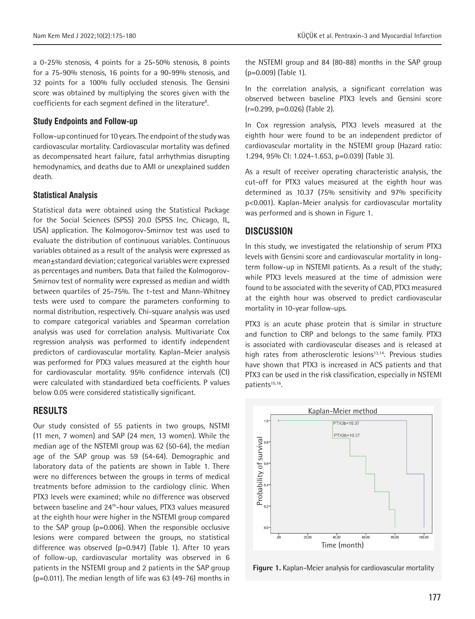a 0-25% stenosis, 4 points for a 25-50% stenosis, 8 points for a 75-90% stenosis, 16 points for a 90-99% stenosis, and 32 points for a 100% fully occluded stenosis. The Gensini score was obtained by multiplying the scores given with the coefficients for each segment defined in the literature<sup>8</sup>.

#### **Study Endpoints and Follow-up**

Follow-up continued for 10 years. The endpoint of the study was cardiovascular mortality. Cardiovascular mortality was defined as decompensated heart failure, fatal arrhythmias disrupting hemodynamics, and deaths due to AMI or unexplained sudden death.

#### **Statistical Analysis**

Statistical data were obtained using the Statistical Package for the Social Sciences (SPSS) 20.0 (SPSS Inc, Chicago, IL, USA) application. The Kolmogorov-Smirnov test was used to evaluate the distribution of continuous variables. Continuous variables obtained as a result of the analysis were expressed as mean±standard deviation; categorical variables were expressed as percentages and numbers. Data that failed the Kolmogorov-Smirnov test of normality were expressed as median and width between quartiles of 25-75%. The t-test and Mann-Whitney tests were used to compare the parameters conforming to normal distribution, respectively. Chi-square analysis was used to compare categorical variables and Spearman correlation analysis was used for correlation analysis. Multivariate Cox regression analysis was performed to identify independent predictors of cardiovascular mortality. Kaplan-Meier analysis was performed for PTX3 values measured at the eighth hour for cardiovascular mortality. 95% confidence intervals (CI) were calculated with standardized beta coefficients. P values below 0.05 were considered statistically significant.

#### **RESULTS**

Our study consisted of 55 patients in two groups, NSTMI (11 men, 7 women) and SAP (24 men, 13 women). While the median age of the NSTEMI group was 62 (50-64), the median age of the SAP group was 59 (54-64). Demographic and laboratory data of the patients are shown in Table 1. There were no differences between the groups in terms of medical treatments before admission to the cardiology clinic. When PTX3 levels were examined; while no difference was observed between baseline and 24<sup>th</sup>-hour values, PTX3 values measured at the eighth hour were higher in the NSTEMI group compared to the SAP group (p=0.006). When the responsible occlusive lesions were compared between the groups, no statistical difference was observed  $(p=0.947)$  (Table 1). After 10 years of follow-up, cardiovascular mortality was observed in 6 patients in the NSTEMI group and 2 patients in the SAP group (p=0.011). The median length of life was 63 (49-76) months in the NSTEMI group and 84 (80-88) months in the SAP group (p=0.009) (Table 1).

In the correlation analysis, a significant correlation was observed between baseline PTX3 levels and Gensini score (r=0.299, p=0.026) (Table 2).

In Cox regression analysis, PTX3 levels measured at the eighth hour were found to be an independent predictor of cardiovascular mortality in the NSTEMI group (Hazard ratio: 1.294, 95% CI: 1.024-1.653, p=0.039) (Table 3).

As a result of receiver operating characteristic analysis, the cut-off for PTX3 values measured at the eighth hour was determined as 10.37 (75% sensitivity and 97% specificity p<0.001). Kaplan-Meier analysis for cardiovascular mortality was performed and is shown in Figure 1.

#### **DISCUSSION**

In this study, we investigated the relationship of serum PTX3 levels with Gensini score and cardiovascular mortality in longterm follow-up in NSTEMI patients. As a result of the study; while PTX3 levels measured at the time of admission were found to be associated with the severity of CAD, PTX3 measured at the eighth hour was observed to predict cardiovascular mortality in 10-year follow-ups.

PTX3 is an acute phase protein that is similar in structure and function to CRP and belongs to the same family. PTX3 is associated with cardiovascular diseases and is released at high rates from atherosclerotic lesions<sup>13,14</sup>. Previous studies have shown that PTX3 is increased in ACS patients and that PTX3 can be used in the risk classification, especially in NSTEMI patients<sup>15,16</sup>.



**Figure 1.** Kaplan-Meier analysis for cardiovascular mortality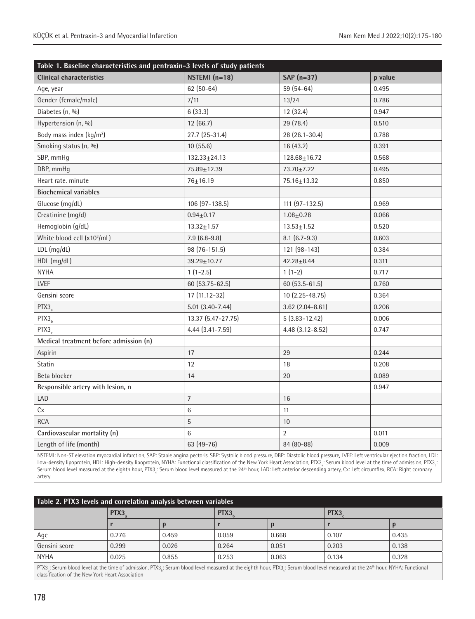| Table 1. Baseline characteristics and pentraxin-3 levels of study patients |                     |                    |         |  |  |  |  |
|----------------------------------------------------------------------------|---------------------|--------------------|---------|--|--|--|--|
| <b>Clinical characteristics</b>                                            | NSTEMI $(n=18)$     | SAP $(n=37)$       | p value |  |  |  |  |
| Age, year                                                                  | $62(50-64)$         | 59 (54-64)         | 0.495   |  |  |  |  |
| Gender (female/male)                                                       | 7/11                | 13/24              | 0.786   |  |  |  |  |
| Diabetes (n, %)                                                            | 6(33.3)             | 12 (32.4)          | 0.947   |  |  |  |  |
| Hypertension (n, %)                                                        | 12(66.7)            | 29 (78.4)          | 0.510   |  |  |  |  |
| Body mass index $(kq/m^2)$                                                 | 27.7 (25-31.4)      | 28 (26.1-30.4)     | 0.788   |  |  |  |  |
| Smoking status (n, %)                                                      | 10(55.6)            | 16(43.2)           | 0.391   |  |  |  |  |
| SBP, mmHg                                                                  | $132.33 + 24.13$    | $128.68 + 16.72$   | 0.568   |  |  |  |  |
| DBP, mmHg                                                                  | 75.89±12.39         | 73.70±7.22         | 0.495   |  |  |  |  |
| Heart rate. minute                                                         | 76±16.19            | 75.16±13.32        | 0.850   |  |  |  |  |
| <b>Biochemical variables</b>                                               |                     |                    |         |  |  |  |  |
| Glucose (mg/dL)                                                            | 106 (97-138.5)      | 111 (97-132.5)     | 0.969   |  |  |  |  |
| Creatinine (mg/d)                                                          | $0.94 \pm 0.17$     | $1.08 + 0.28$      | 0.066   |  |  |  |  |
| Hemoglobin (g/dL)                                                          | $13.32 \pm 1.57$    | $13.53 + 1.52$     | 0.520   |  |  |  |  |
| White blood cell (x103/mL)                                                 | $7.9(6.8-9.8)$      | $8.1(6.7-9.3)$     | 0.603   |  |  |  |  |
| LDL (mg/dL)                                                                | 98 (76-151.5)       | 121 (98-143)       | 0.384   |  |  |  |  |
| HDL (mg/dL)                                                                | $39.29 \pm 10.77$   | $42.28 + 8.44$     | 0.311   |  |  |  |  |
| <b>NYHA</b>                                                                | $1(1-2.5)$          | $1(1-2)$           | 0.717   |  |  |  |  |
| LVEF                                                                       | 60 (53.75-62.5)     | 60 (53.5-61.5)     | 0.760   |  |  |  |  |
| Gensini score                                                              | 17 (11.12-32)       | 10 (2.25-48.75)    | 0.364   |  |  |  |  |
| PTX <sub>3</sub>                                                           | $5.01(3.40 - 7.44)$ | $3.62$ (2.04-8.61) | 0.206   |  |  |  |  |
| PTX3 <sub>h</sub>                                                          | 13.37 (5.47-27.75)  | $5(3.83 - 12.42)$  | 0.006   |  |  |  |  |
| PTX3                                                                       | 4.44 (3.41-7.59)    | 4.48 (3.12-8.52)   | 0.747   |  |  |  |  |
| Medical treatment before admission (n)                                     |                     |                    |         |  |  |  |  |
| Aspirin                                                                    | 17                  | 29                 | 0.244   |  |  |  |  |
| Statin                                                                     | 12                  | 18                 | 0.208   |  |  |  |  |
| Beta blocker                                                               | 14                  | 20                 | 0.089   |  |  |  |  |
| Responsible artery with lesion, n                                          |                     |                    | 0.947   |  |  |  |  |
| LAD                                                                        | $\overline{7}$      | 16                 |         |  |  |  |  |
| Cx                                                                         | $6\phantom{1}6$     | 11                 |         |  |  |  |  |
| <b>RCA</b>                                                                 | 5                   | 10                 |         |  |  |  |  |
| Cardiovascular mortality (n)                                               | 6                   | $\overline{2}$     | 0.011   |  |  |  |  |
| Length of life (month)                                                     | 63 (49-76)          | 84 (80-88)         | 0.009   |  |  |  |  |

NSTEMI: Non-ST elevation myocardial infarction, SAP: Stable angina pectoris, SBP: Systolic blood pressure, DBP: Diastolic blood pressure, LVEF: Left ventricular ejection fraction, LDL: Low-density lipoprotein, HDL: High-density lipoprotein, NYHA: Functional classification of the New York Heart Association, PTX3 $_{\rm s}$ : Serum blood level at the time of admission, PTX3 $_{\rm s}$ : Serum blood level measured at the eighth hour, PTX3<sub>c</sub>: Serum blood level measured at the 24<sup>th</sup> hour, LAD: Left anterior descending artery, Cx: Left circumflex, RCA: Right coronary artery

|                                                                                                                                                                            | Table 2. PTX3 levels and correlation analysis between variables |       |                  |       |       |       |
|----------------------------------------------------------------------------------------------------------------------------------------------------------------------------|-----------------------------------------------------------------|-------|------------------|-------|-------|-------|
|                                                                                                                                                                            | PTX3                                                            |       | PTX <sub>3</sub> |       | PTX3  |       |
|                                                                                                                                                                            |                                                                 |       |                  |       |       |       |
| Age                                                                                                                                                                        | 0.276                                                           | 0.459 | 0.059            | 0.668 | 0.107 | 0.435 |
| Gensini score                                                                                                                                                              | 0.299                                                           | 0.026 | 0.264            | 0.051 | 0.203 | 0.138 |
| <b>NYHA</b>                                                                                                                                                                | 0.025                                                           | 0.855 | 0.253            | 0.063 | 0.134 | 0.328 |
| PTX3 · Serum blood level at the time of admission PTX3 · Serum blood level measured at the eighth hour PTX3 · Serum blood level measured at the 24th hour NYHA· Functional |                                                                 |       |                  |       |       |       |

 $PTX3 a<sub>a</sub>$ : Serum blood level at the time of admission, PTX3 $_b$  classification of the New York Heart Association : Serum blood level measured at the eighth hour, PTX3 $_{\rm c}$ : Serum blood level measured at the 24<sup>th</sup> hour, NYHA: Functional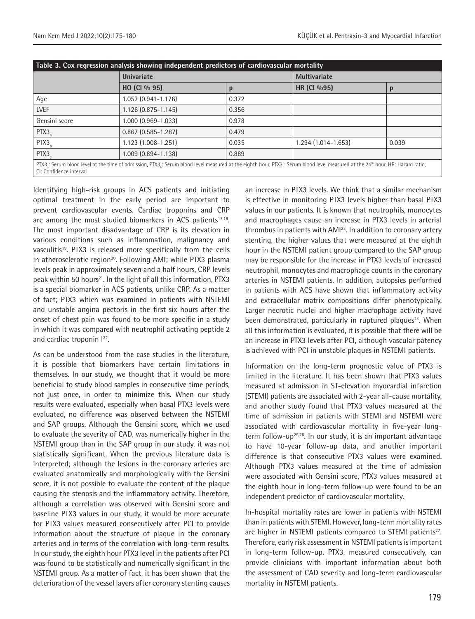|               | <b>Univariate</b>         |       |                      | <b>Multivariate</b> |  |  |
|---------------|---------------------------|-------|----------------------|---------------------|--|--|
|               | HO (CI % 95)              | p     | HR (CI %95)          |                     |  |  |
| Age           | 1.052 (0.941-1.176)       | 0.372 |                      |                     |  |  |
| <b>LVEF</b>   | $1.126$ (0.875-1.145)     | 0.356 |                      |                     |  |  |
| Gensini score | 1.000 (0.969-1.033)       | 0.978 |                      |                     |  |  |
| PTX3          | $0.867$ $(0.585 - 1.287)$ | 0.479 |                      |                     |  |  |
| PTX3          | $1.123(1.008-1.251)$      | 0.035 | $1.294(1.014-1.653)$ | 0.039               |  |  |
| PTX3          | 1.009 (0.894-1.138)       | 0.889 |                      |                     |  |  |

Identifying high-risk groups in ACS patients and initiating optimal treatment in the early period are important to prevent cardiovascular events. Cardiac troponins and CRP are among the most studied biomarkers in ACS patients $17,18$ . The most important disadvantage of CRP is its elevation in various conditions such as inflammation, malignancy and vasculitis<sup>19</sup>. PTX3 is released more specifically from the cells in atherosclerotic region<sup>20</sup>. Following AMI; while PTX3 plasma levels peak in approximately seven and a half hours, CRP levels peak within 50 hours<sup>21</sup>. In the light of all this information, PTX3 is a special biomarker in ACS patients, unlike CRP. As a matter of fact; PTX3 which was examined in patients with NSTEMI and unstable angina pectoris in the first six hours after the onset of chest pain was found to be more specific in a study in which it was compared with neutrophil activating peptide 2 and cardiac troponin  $1^{22}$ .

As can be understood from the case studies in the literature, it is possible that biomarkers have certain limitations in themselves. In our study, we thought that it would be more beneficial to study blood samples in consecutive time periods, not just once, in order to minimize this. When our study results were evaluated, especially when basal PTX3 levels were evaluated, no difference was observed between the NSTEMI and SAP groups. Although the Gensini score, which we used to evaluate the severity of CAD, was numerically higher in the NSTEMI group than in the SAP group in our study, it was not statistically significant. When the previous literature data is interpreted; although the lesions in the coronary arteries are evaluated anatomically and morphologically with the Gensini score, it is not possible to evaluate the content of the plaque causing the stenosis and the inflammatory activity. Therefore, although a correlation was observed with Gensini score and baseline PTX3 values in our study, it would be more accurate for PTX3 values measured consecutively after PCI to provide information about the structure of plaque in the coronary arteries and in terms of the correlation with long-term results. In our study, the eighth hour PTX3 level in the patients after PCI was found to be statistically and numerically significant in the NSTEMI group. As a matter of fact, it has been shown that the deterioration of the vessel layers after coronary stenting causes

an increase in PTX3 levels. We think that a similar mechanism is effective in monitoring PTX3 levels higher than basal PTX3 values in our patients. It is known that neutrophils, monocytes and macrophages cause an increase in PTX3 levels in arterial thrombus in patients with AMI<sup>23</sup>. In addition to coronary artery stenting, the higher values that were measured at the eighth hour in the NSTEMI patient group compared to the SAP group may be responsible for the increase in PTX3 levels of increased neutrophil, monocytes and macrophage counts in the coronary arteries in NSTEMI patients. In addition, autopsies performed in patients with ACS have shown that inflammatory activity and extracellular matrix compositions differ phenotypically. Larger necrotic nuclei and higher macrophage activity have been demonstrated, particularly in ruptured plaques<sup>24</sup>. When all this information is evaluated, it is possible that there will be an increase in PTX3 levels after PCI, although vascular patency is achieved with PCI in unstable plaques in NSTEMI patients.

Information on the long-term prognostic value of PTX3 is limited in the literature. It has been shown that PTX3 values measured at admission in ST-elevation myocardial infarction (STEMI) patients are associated with 2-year all-cause mortality, and another study found that PTX3 values measured at the time of admission in patients with STEMI and NSTEMI were associated with cardiovascular mortality in five-year longterm follow-up<sup>25,26</sup>. In our study, it is an important advantage to have 10-year follow-up data, and another important difference is that consecutive PTX3 values were examined. Although PTX3 values measured at the time of admission were associated with Gensini score, PTX3 values measured at the eighth hour in long-term follow-up were found to be an independent predictor of cardiovascular mortality.

In-hospital mortality rates are lower in patients with NSTEMI than in patients with STEMI. However, long-term mortality rates are higher in NSTEMI patients compared to STEMI patients<sup>27</sup>. Therefore, early risk assessment in NSTEMI patients is important in long-term follow-up. PTX3, measured consecutively, can provide clinicians with important information about both the assessment of CAD severity and long-term cardiovascular mortality in NSTEMI patients.